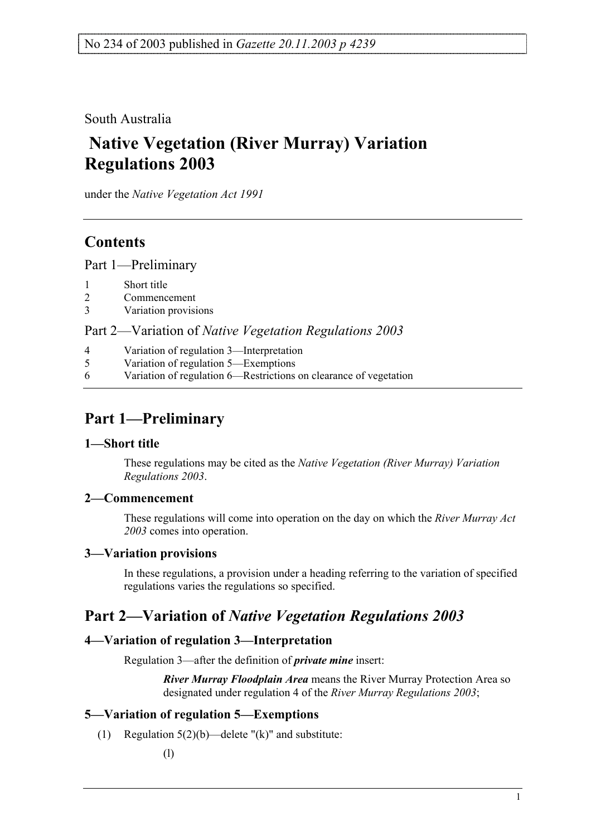South Australia

# **Native Vegetation (River Murray) Variation Regulations 2003**

under the *Native Vegetation Act 1991*

## **Contents**

Part 1—Preliminary

- 1 Short title
- 2 Commencement
- 3 Variation provisions

Part 2—Variation of *Native Vegetation Regulations 2003*

- 4 Variation of regulation 3—Interpretation
- 5 Variation of regulation 5—Exemptions
- 6 Variation of regulation 6—Restrictions on clearance of vegetation

# **Part 1—Preliminary**

### **1—Short title**

These regulations may be cited as the *Native Vegetation (River Murray) Variation Regulations 2003*.

### **2—Commencement**

These regulations will come into operation on the day on which the *River Murray Act 2003* comes into operation.

### **3—Variation provisions**

In these regulations, a provision under a heading referring to the variation of specified regulations varies the regulations so specified.

### **Part 2—Variation of** *Native Vegetation Regulations 2003*

### **4—Variation of regulation 3—Interpretation**

Regulation 3—after the definition of *private mine* insert:

*River Murray Floodplain Area* means the River Murray Protection Area so designated under regulation 4 of the *River Murray Regulations 2003*;

### **5—Variation of regulation 5—Exemptions**

(1) Regulation  $5(2)(b)$ —delete "(k)" and substitute: